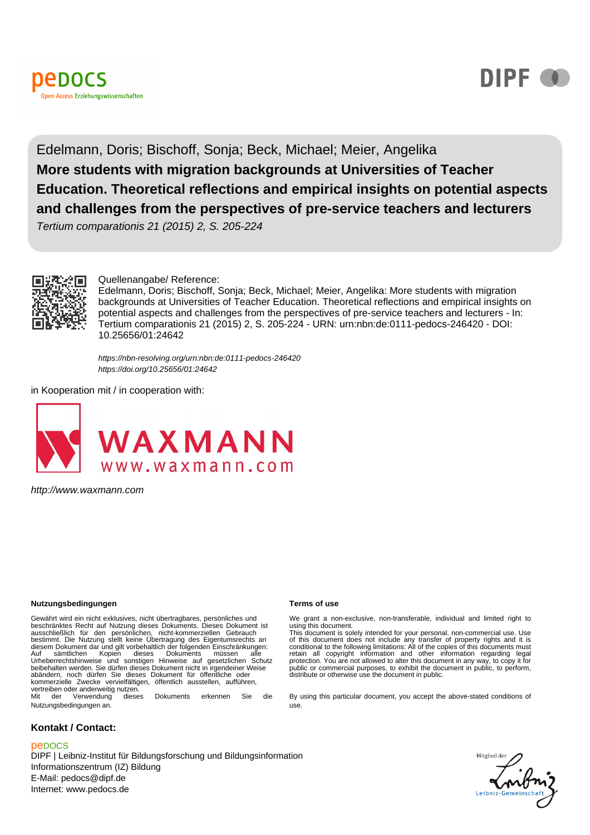



# Edelmann, Doris; Bischoff, Sonja; Beck, Michael; Meier, Angelika **More students with migration backgrounds at Universities of Teacher Education. Theoretical reflections and empirical insights on potential aspects and challenges from the perspectives of pre-service teachers and lecturers**

Tertium comparationis 21 (2015) 2, S. 205-224



#### Quellenangabe/ Reference:

Edelmann, Doris; Bischoff, Sonja; Beck, Michael; Meier, Angelika: More students with migration backgrounds at Universities of Teacher Education. Theoretical reflections and empirical insights on potential aspects and challenges from the perspectives of pre-service teachers and lecturers - In: Tertium comparationis 21 (2015) 2, S. 205-224 - URN: urn:nbn:de:0111-pedocs-246420 - DOI: 10.25656/01:24642

https://nbn-resolving.org/urn:nbn:de:0111-pedocs-246420 https://doi.org/10.25656/01:24642

in Kooperation mit / in cooperation with:



http://www.waxmann.com

#### **Nutzungsbedingungen Terms of use**

Gewährt wird ein nicht exklusives, nicht übertragbares, persönliches und beschränktes Recht auf Nutzung dieses Dokuments. Dieses Dokument ist ausschließlich für den persönlichen, nicht-kommerziellen Gebrauch bestimmt. Die Nutzung stellt keine Übertragung des Eigentumsrechts an diesem Dokument dar und gilt vorbehaltlich der folgenden Einschränkungen:<br>Auf sämtlichen Kopien dieses Dokuments müssen alle<br>Urheberrechtshinweise und sonstigen Hinweise auf gesetzlichen Sc beibehalten werden. Sie dürfen dieses Dokument nicht in irgendeiner Weise abändern, noch dürfen Sie dieses Dokument für öffentliche oder kommerzielle Zwecke vervielfältigen, öffentlich ausstellen, aufführen, vertreiben oder anderweitig nutzen<sup>.</sup><br>Mit der Verwendung diese dieses Dokuments erkennen Sie die

Nutzungsbedingungen an.

### **Kontakt / Contact:**

#### peDOCS

DIPF | Leibniz-Institut für Bildungsforschung und Bildungsinformation Informationszentrum (IZ) Bildung E-Mail: pedocs@dipf.de Internet: www.pedocs.de

We grant a non-exclusive, non-transferable, individual and limited right to using this document. This document is solely intended for your personal, non-commercial use. Use

of this document does not include any transfer of property rights and it is<br>conditional to the following limitations: All of the copies of this documents must<br>retain all copyright information and other information regardin protection. You are not allowed to alter this document in any way, to copy it for public or commercial purposes, to exhibit the document in public, to perform, distribute or otherwise use the document in public.

By using this particular document, you accept the above-stated conditions of use.

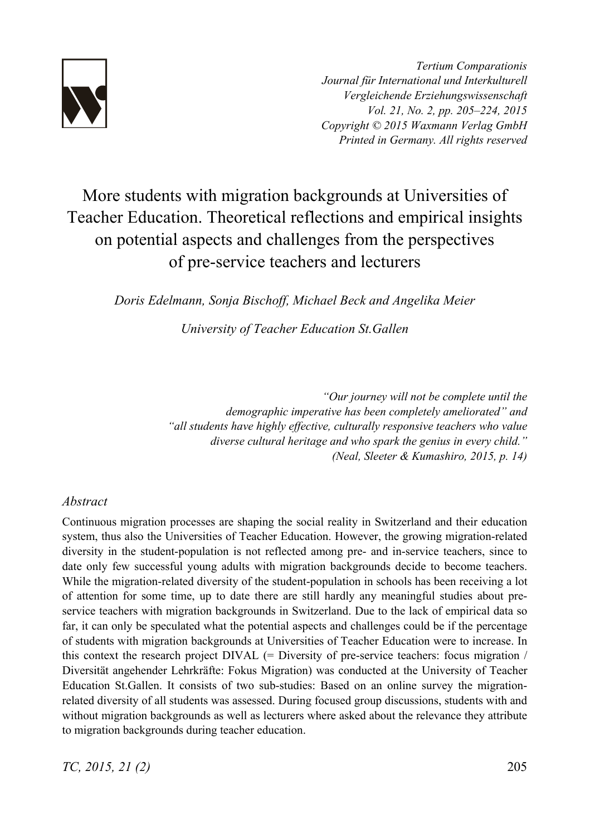

*Tertium Comparationis Journal für International und Interkulturell Vergleichende Erziehungswissenschaft Vol. 21, No. 2, pp. 205–224, 2015 Copyright © 2015 Waxmann Verlag GmbH Printed in Germany. All rights reserved*

# More students with migration backgrounds at Universities of Teacher Education. Theoretical reflections and empirical insights on potential aspects and challenges from the perspectives of pre-service teachers and lecturers

*Doris Edelmann, Sonja Bischoff, Michael Beck and Angelika Meier* 

*University of Teacher Education St.Gallen*

*"Our journey will not be complete until the demographic imperative has been completely ameliorated" and "all students have highly effective, culturally responsive teachers who value diverse cultural heritage and who spark the genius in every child." (Neal, Sleeter & Kumashiro, 2015, p. 14)*

## *Abstract*

Continuous migration processes are shaping the social reality in Switzerland and their education system, thus also the Universities of Teacher Education. However, the growing migration-related diversity in the student-population is not reflected among pre- and in-service teachers, since to date only few successful young adults with migration backgrounds decide to become teachers. While the migration-related diversity of the student-population in schools has been receiving a lot of attention for some time, up to date there are still hardly any meaningful studies about preservice teachers with migration backgrounds in Switzerland. Due to the lack of empirical data so far, it can only be speculated what the potential aspects and challenges could be if the percentage of students with migration backgrounds at Universities of Teacher Education were to increase. In this context the research project  $DIVAL$  (= Diversity of pre-service teachers: focus migration / Diversität angehender Lehrkräfte: Fokus Migration) was conducted at the University of Teacher Education St.Gallen. It consists of two sub-studies: Based on an online survey the migrationrelated diversity of all students was assessed. During focused group discussions, students with and without migration backgrounds as well as lecturers where asked about the relevance they attribute to migration backgrounds during teacher education.

*TC, 2015, 21 (2)* 205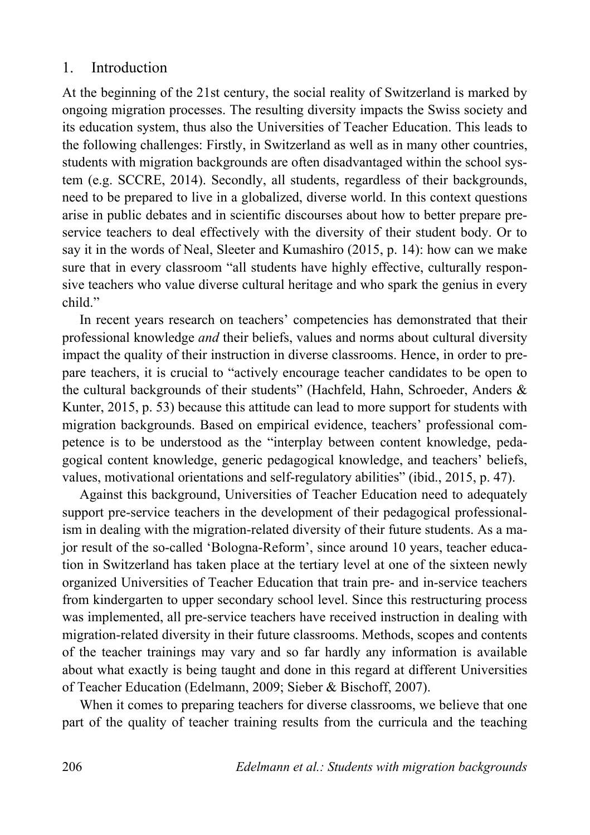# 1. Introduction

At the beginning of the 21st century, the social reality of Switzerland is marked by ongoing migration processes. The resulting diversity impacts the Swiss society and its education system, thus also the Universities of Teacher Education. This leads to the following challenges: Firstly, in Switzerland as well as in many other countries, students with migration backgrounds are often disadvantaged within the school system (e.g. SCCRE, 2014). Secondly, all students, regardless of their backgrounds, need to be prepared to live in a globalized, diverse world. In this context questions arise in public debates and in scientific discourses about how to better prepare preservice teachers to deal effectively with the diversity of their student body. Or to say it in the words of Neal, Sleeter and Kumashiro (2015, p. 14): how can we make sure that in every classroom "all students have highly effective, culturally responsive teachers who value diverse cultural heritage and who spark the genius in every child"

In recent years research on teachers' competencies has demonstrated that their professional knowledge *and* their beliefs, values and norms about cultural diversity impact the quality of their instruction in diverse classrooms. Hence, in order to prepare teachers, it is crucial to "actively encourage teacher candidates to be open to the cultural backgrounds of their students" (Hachfeld, Hahn, Schroeder, Anders & Kunter, 2015, p. 53) because this attitude can lead to more support for students with migration backgrounds. Based on empirical evidence, teachers' professional competence is to be understood as the "interplay between content knowledge, pedagogical content knowledge, generic pedagogical knowledge, and teachers' beliefs, values, motivational orientations and self-regulatory abilities" (ibid., 2015, p. 47).

Against this background, Universities of Teacher Education need to adequately support pre-service teachers in the development of their pedagogical professionalism in dealing with the migration-related diversity of their future students. As a major result of the so-called 'Bologna-Reform', since around 10 years, teacher education in Switzerland has taken place at the tertiary level at one of the sixteen newly organized Universities of Teacher Education that train pre- and in-service teachers from kindergarten to upper secondary school level. Since this restructuring process was implemented, all pre-service teachers have received instruction in dealing with migration-related diversity in their future classrooms. Methods, scopes and contents of the teacher trainings may vary and so far hardly any information is available about what exactly is being taught and done in this regard at different Universities of Teacher Education (Edelmann, 2009; Sieber & Bischoff, 2007).

When it comes to preparing teachers for diverse classrooms, we believe that one part of the quality of teacher training results from the curricula and the teaching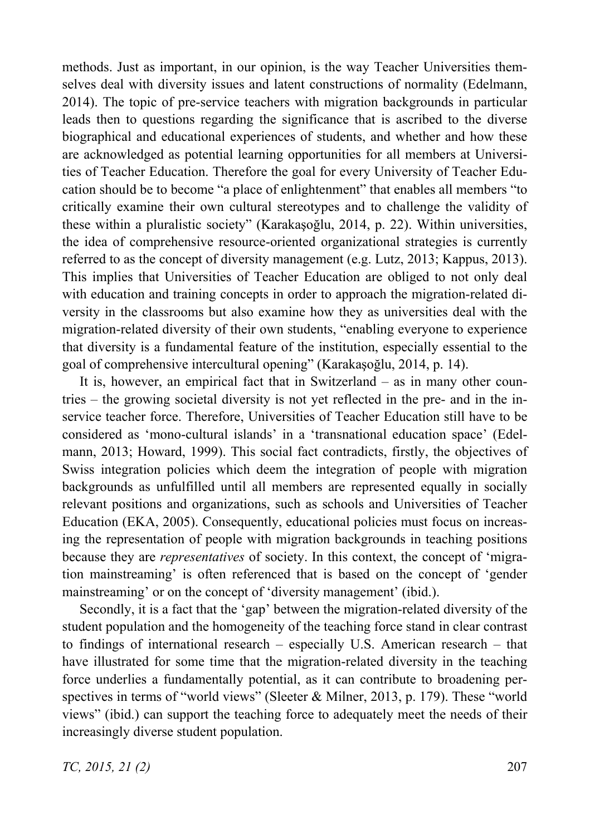methods. Just as important, in our opinion, is the way Teacher Universities themselves deal with diversity issues and latent constructions of normality (Edelmann, 2014). The topic of pre-service teachers with migration backgrounds in particular leads then to questions regarding the significance that is ascribed to the diverse biographical and educational experiences of students, and whether and how these are acknowledged as potential learning opportunities for all members at Universities of Teacher Education. Therefore the goal for every University of Teacher Education should be to become "a place of enlightenment" that enables all members "to critically examine their own cultural stereotypes and to challenge the validity of these within a pluralistic society" (Karakaşoğlu, 2014, p. 22). Within universities, the idea of comprehensive resource-oriented organizational strategies is currently referred to as the concept of diversity management (e.g. Lutz, 2013; Kappus, 2013). This implies that Universities of Teacher Education are obliged to not only deal with education and training concepts in order to approach the migration-related diversity in the classrooms but also examine how they as universities deal with the migration-related diversity of their own students, "enabling everyone to experience that diversity is a fundamental feature of the institution, especially essential to the goal of comprehensive intercultural opening" (Karakaşoğlu, 2014, p. 14).

It is, however, an empirical fact that in Switzerland – as in many other countries – the growing societal diversity is not yet reflected in the pre- and in the inservice teacher force. Therefore, Universities of Teacher Education still have to be considered as 'mono-cultural islands' in a 'transnational education space' (Edelmann, 2013; Howard, 1999). This social fact contradicts, firstly, the objectives of Swiss integration policies which deem the integration of people with migration backgrounds as unfulfilled until all members are represented equally in socially relevant positions and organizations, such as schools and Universities of Teacher Education (EKA, 2005). Consequently, educational policies must focus on increasing the representation of people with migration backgrounds in teaching positions because they are *representatives* of society. In this context, the concept of 'migration mainstreaming' is often referenced that is based on the concept of 'gender mainstreaming' or on the concept of 'diversity management' (ibid.).

Secondly, it is a fact that the 'gap' between the migration-related diversity of the student population and the homogeneity of the teaching force stand in clear contrast to findings of international research – especially U.S. American research – that have illustrated for some time that the migration-related diversity in the teaching force underlies a fundamentally potential, as it can contribute to broadening perspectives in terms of "world views" (Sleeter & Milner, 2013, p. 179). These "world views" (ibid.) can support the teaching force to adequately meet the needs of their increasingly diverse student population.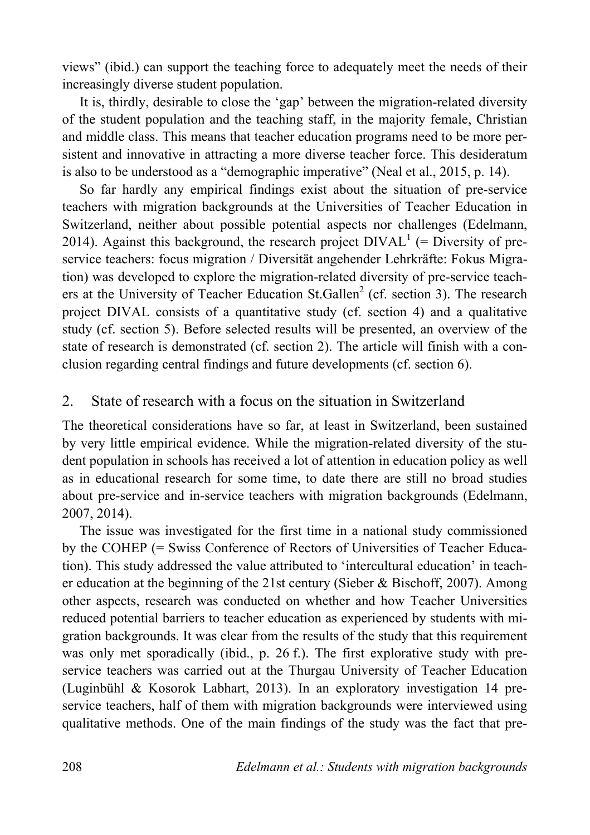views" (ibid.) can support the teaching force to adequately meet the needs of their increasingly diverse student population.

It is, thirdly, desirable to close the 'gap' between the migration-related diversity of the student population and the teaching staff, in the majority female, Christian and middle class. This means that teacher education programs need to be more persistent and innovative in attracting a more diverse teacher force. This desideratum is also to be understood as a "demographic imperative" (Neal et al., 2015, p. 14).

So far hardly any empirical findings exist about the situation of pre-service teachers with migration backgrounds at the Universities of Teacher Education in Switzerland, neither about possible potential aspects nor challenges (Edelmann, 2014). Against this background, the research project  $DIVAL<sup>1</sup>$  (= Diversity of preservice teachers: focus migration / Diversität angehender Lehrkräfte: Fokus Migration) was developed to explore the migration-related diversity of pre-service teachers at the University of Teacher Education St.Gallen<sup>2</sup> (cf. section 3). The research project DIVAL consists of a quantitative study (cf. section 4) and a qualitative study (cf. section 5). Before selected results will be presented, an overview of the state of research is demonstrated (cf. section 2). The article will finish with a conclusion regarding central findings and future developments (cf. section 6).

# 2. State of research with a focus on the situation in Switzerland

The theoretical considerations have so far, at least in Switzerland, been sustained by very little empirical evidence. While the migration-related diversity of the student population in schools has received a lot of attention in education policy as well as in educational research for some time, to date there are still no broad studies about pre-service and in-service teachers with migration backgrounds (Edelmann, 2007, 2014).

The issue was investigated for the first time in a national study commissioned by the COHEP (= Swiss Conference of Rectors of Universities of Teacher Education). This study addressed the value attributed to 'intercultural education' in teacher education at the beginning of the 21st century (Sieber & Bischoff, 2007). Among other aspects, research was conducted on whether and how Teacher Universities reduced potential barriers to teacher education as experienced by students with migration backgrounds. It was clear from the results of the study that this requirement was only met sporadically (ibid., p. 26 f.). The first explorative study with preservice teachers was carried out at the Thurgau University of Teacher Education (Luginbühl & Kosorok Labhart, 2013). In an exploratory investigation 14 preservice teachers, half of them with migration backgrounds were interviewed using qualitative methods. One of the main findings of the study was the fact that pre-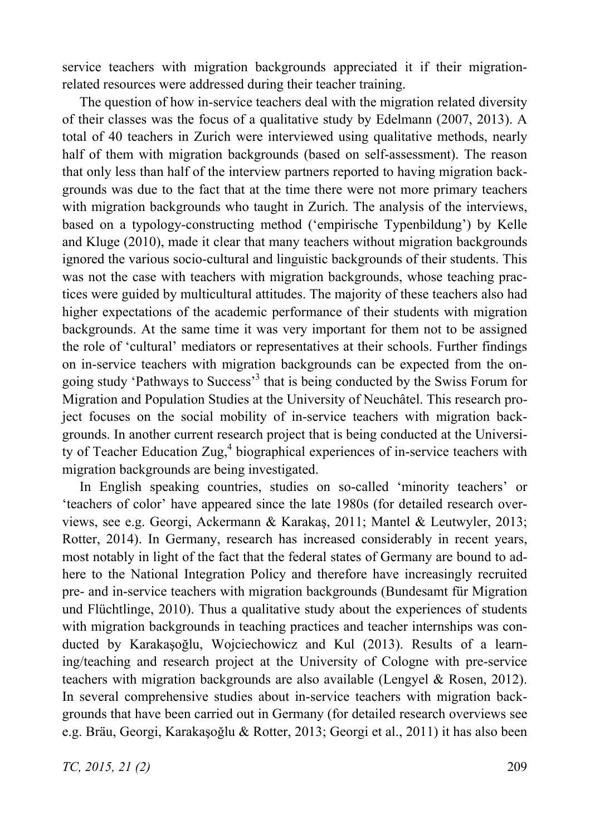service teachers with migration backgrounds appreciated it if their migrationrelated resources were addressed during their teacher training.

The question of how in-service teachers deal with the migration related diversity of their classes was the focus of a qualitative study by Edelmann (2007, 2013). A total of 40 teachers in Zurich were interviewed using qualitative methods, nearly half of them with migration backgrounds (based on self-assessment). The reason that only less than half of the interview partners reported to having migration backgrounds was due to the fact that at the time there were not more primary teachers with migration backgrounds who taught in Zurich. The analysis of the interviews, based on a typology-constructing method ('empirische Typenbildung') by Kelle and Kluge (2010), made it clear that many teachers without migration backgrounds ignored the various socio-cultural and linguistic backgrounds of their students. This was not the case with teachers with migration backgrounds, whose teaching practices were guided by multicultural attitudes. The majority of these teachers also had higher expectations of the academic performance of their students with migration backgrounds. At the same time it was very important for them not to be assigned the role of 'cultural' mediators or representatives at their schools. Further findings on in-service teachers with migration backgrounds can be expected from the ongoing study 'Pathways to Success'<sup>3</sup> that is being conducted by the Swiss Forum for Migration and Population Studies at the University of Neuchâtel. This research project focuses on the social mobility of in-service teachers with migration backgrounds. In another current research project that is being conducted at the University of Teacher Education Zug,<sup>4</sup> biographical experiences of in-service teachers with migration backgrounds are being investigated.

In English speaking countries, studies on so-called 'minority teachers' or 'teachers of color' have appeared since the late 1980s (for detailed research overviews, see e.g. Georgi, Ackermann & Karakaş, 2011; Mantel & Leutwyler, 2013; Rotter, 2014). In Germany, research has increased considerably in recent years, most notably in light of the fact that the federal states of Germany are bound to adhere to the National Integration Policy and therefore have increasingly recruited pre- and in-service teachers with migration backgrounds (Bundesamt für Migration und Flüchtlinge, 2010). Thus a qualitative study about the experiences of students with migration backgrounds in teaching practices and teacher internships was conducted by Karakaşoğlu, Wojciechowicz and Kul (2013). Results of a learning/teaching and research project at the University of Cologne with pre-service teachers with migration backgrounds are also available (Lengyel & Rosen, 2012). In several comprehensive studies about in-service teachers with migration backgrounds that have been carried out in Germany (for detailed research overviews see e.g. Bräu, Georgi, Karakaşoğlu & Rotter, 2013; Georgi et al., 2011) it has also been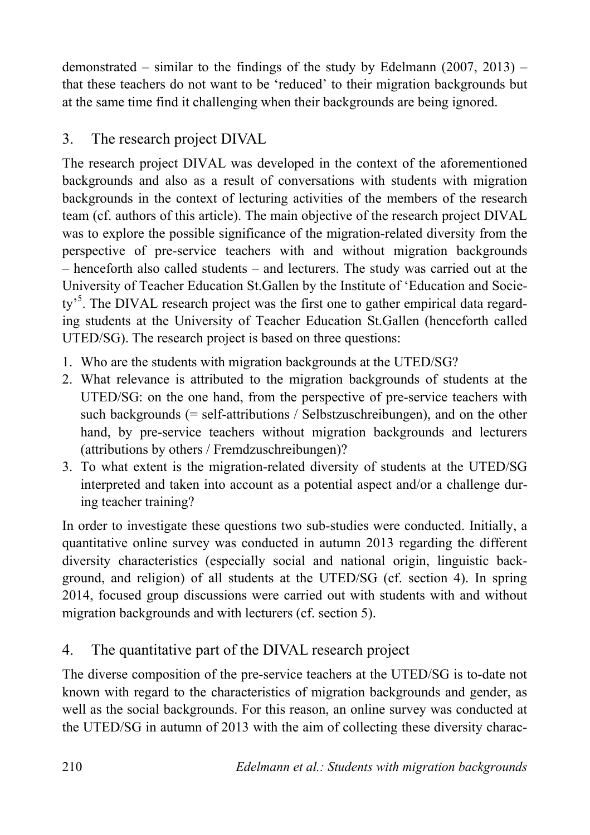demonstrated – similar to the findings of the study by Edelmann  $(2007, 2013)$  – that these teachers do not want to be 'reduced' to their migration backgrounds but at the same time find it challenging when their backgrounds are being ignored.

# 3. The research project DIVAL

The research project DIVAL was developed in the context of the aforementioned backgrounds and also as a result of conversations with students with migration backgrounds in the context of lecturing activities of the members of the research team (cf. authors of this article). The main objective of the research project DIVAL was to explore the possible significance of the migration-related diversity from the perspective of pre-service teachers with and without migration backgrounds – henceforth also called students – and lecturers. The study was carried out at the University of Teacher Education St.Gallen by the Institute of 'Education and Society<sup>55</sup>. The DIVAL research project was the first one to gather empirical data regarding students at the University of Teacher Education St.Gallen (henceforth called UTED/SG). The research project is based on three questions:

- 1. Who are the students with migration backgrounds at the UTED/SG?
- 2. What relevance is attributed to the migration backgrounds of students at the UTED/SG: on the one hand, from the perspective of pre-service teachers with such backgrounds (= self-attributions / Selbstzuschreibungen), and on the other hand, by pre-service teachers without migration backgrounds and lecturers (attributions by others / Fremdzuschreibungen)?
- 3. To what extent is the migration-related diversity of students at the UTED/SG interpreted and taken into account as a potential aspect and/or a challenge during teacher training?

In order to investigate these questions two sub-studies were conducted. Initially, a quantitative online survey was conducted in autumn 2013 regarding the different diversity characteristics (especially social and national origin, linguistic background, and religion) of all students at the UTED/SG (cf. section 4). In spring 2014, focused group discussions were carried out with students with and without migration backgrounds and with lecturers (cf. section 5).

# 4. The quantitative part of the DIVAL research project

The diverse composition of the pre-service teachers at the UTED/SG is to-date not known with regard to the characteristics of migration backgrounds and gender, as well as the social backgrounds. For this reason, an online survey was conducted at the UTED/SG in autumn of 2013 with the aim of collecting these diversity charac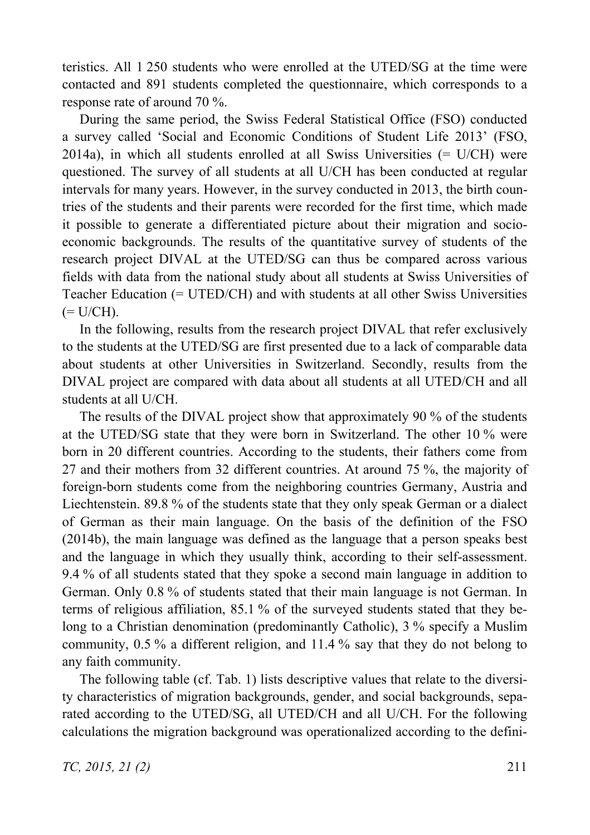teristics. All 1 250 students who were enrolled at the UTED/SG at the time were contacted and 891 students completed the questionnaire, which corresponds to a response rate of around 70 %.

During the same period, the Swiss Federal Statistical Office (FSO) conducted a survey called 'Social and Economic Conditions of Student Life 2013' (FSO,  $2014a$ ), in which all students enrolled at all Swiss Universities  $(= U/CH)$  were questioned. The survey of all students at all U/CH has been conducted at regular intervals for many years. However, in the survey conducted in 2013, the birth countries of the students and their parents were recorded for the first time, which made it possible to generate a differentiated picture about their migration and socioeconomic backgrounds. The results of the quantitative survey of students of the research project DIVAL at the UTED/SG can thus be compared across various fields with data from the national study about all students at Swiss Universities of Teacher Education (= UTED/CH) and with students at all other Swiss Universities  $(= U/CH).$ 

In the following, results from the research project DIVAL that refer exclusively to the students at the UTED/SG are first presented due to a lack of comparable data about students at other Universities in Switzerland. Secondly, results from the DIVAL project are compared with data about all students at all UTED/CH and all students at all U/CH.

The results of the DIVAL project show that approximately 90 % of the students at the UTED/SG state that they were born in Switzerland. The other 10 % were born in 20 different countries. According to the students, their fathers come from 27 and their mothers from 32 different countries. At around 75 %, the majority of foreign-born students come from the neighboring countries Germany, Austria and Liechtenstein. 89.8 % of the students state that they only speak German or a dialect of German as their main language. On the basis of the definition of the FSO (2014b), the main language was defined as the language that a person speaks best and the language in which they usually think, according to their self-assessment. 9.4 % of all students stated that they spoke a second main language in addition to German. Only 0.8 % of students stated that their main language is not German. In terms of religious affiliation, 85.1 % of the surveyed students stated that they belong to a Christian denomination (predominantly Catholic), 3 % specify a Muslim community, 0.5 % a different religion, and 11.4 % say that they do not belong to any faith community.

The following table (cf. Tab. 1) lists descriptive values that relate to the diversity characteristics of migration backgrounds, gender, and social backgrounds, separated according to the UTED/SG, all UTED/CH and all U/CH. For the following calculations the migration background was operationalized according to the defini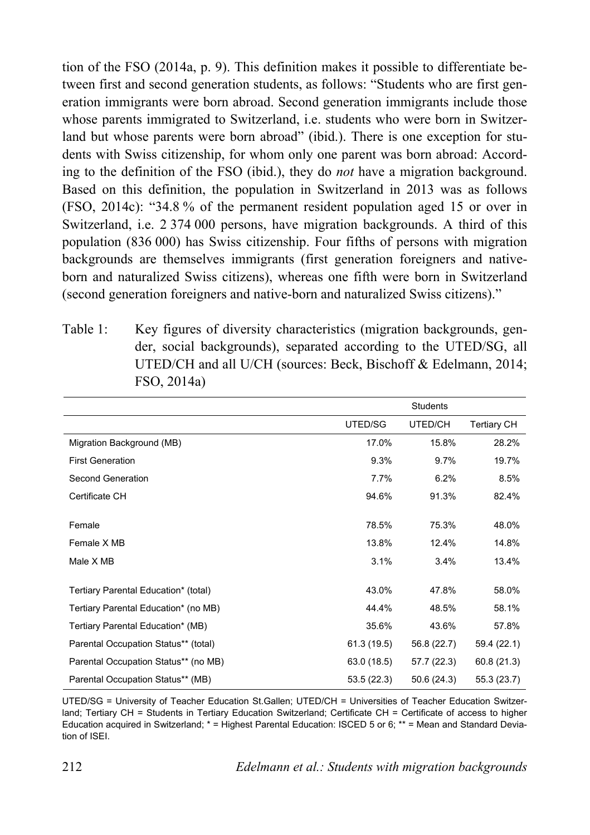tion of the FSO (2014a, p. 9). This definition makes it possible to differentiate between first and second generation students, as follows: "Students who are first generation immigrants were born abroad. Second generation immigrants include those whose parents immigrated to Switzerland, i.e. students who were born in Switzerland but whose parents were born abroad" (ibid.). There is one exception for students with Swiss citizenship, for whom only one parent was born abroad: According to the definition of the FSO (ibid.), they do *not* have a migration background. Based on this definition, the population in Switzerland in 2013 was as follows (FSO, 2014c): "34.8 % of the permanent resident population aged 15 or over in Switzerland, i.e. 2 374 000 persons, have migration backgrounds. A third of this population (836 000) has Swiss citizenship. Four fifths of persons with migration backgrounds are themselves immigrants (first generation foreigners and nativeborn and naturalized Swiss citizens), whereas one fifth were born in Switzerland (second generation foreigners and native-born and naturalized Swiss citizens)."

Table 1: Key figures of diversity characteristics (migration backgrounds, gender, social backgrounds), separated according to the UTED/SG, all UTED/CH and all U/CH (sources: Beck, Bischoff & Edelmann, 2014; FSO, 2014a)

|                                      | <b>Students</b> |             |                    |
|--------------------------------------|-----------------|-------------|--------------------|
|                                      | UTED/SG         | UTED/CH     | <b>Tertiary CH</b> |
| Migration Background (MB)            | 17.0%           | 15.8%       | 28.2%              |
| <b>First Generation</b>              | 9.3%            | 9.7%        | 19.7%              |
| Second Generation                    | 7.7%            | 6.2%        | 8.5%               |
| Certificate CH                       | 94.6%           | 91.3%       | 82.4%              |
|                                      |                 |             |                    |
| Female                               | 78.5%           | 75.3%       | 48.0%              |
| Female X MB                          | 13.8%           | 12.4%       | 14.8%              |
| Male X MB                            | 3.1%            | 3.4%        | 13.4%              |
| Tertiary Parental Education* (total) | 43.0%           | 47.8%       | 58.0%              |
|                                      |                 |             |                    |
| Tertiary Parental Education* (no MB) | 44.4%           | 48.5%       | 58.1%              |
| Tertiary Parental Education* (MB)    | 35.6%           | 43.6%       | 57.8%              |
| Parental Occupation Status** (total) | 61.3 (19.5)     | 56.8 (22.7) | 59.4 (22.1)        |
| Parental Occupation Status** (no MB) | 63.0 (18.5)     | 57.7 (22.3) | 60.8(21.3)         |
| Parental Occupation Status** (MB)    | 53.5 (22.3)     | 50.6 (24.3) | 55.3 (23.7)        |

UTED/SG = University of Teacher Education St.Gallen; UTED/CH = Universities of Teacher Education Switzerland; Tertiary CH = Students in Tertiary Education Switzerland; Certificate CH = Certificate of access to higher Education acquired in Switzerland; \* = Highest Parental Education: ISCED 5 or 6; \*\* = Mean and Standard Deviation of ISEI.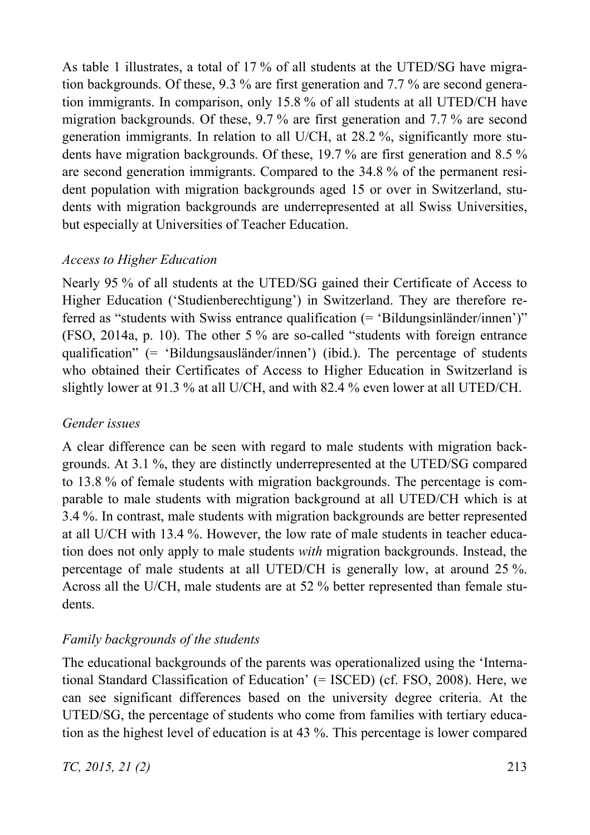As table 1 illustrates, a total of 17 % of all students at the UTED/SG have migration backgrounds. Of these, 9.3 % are first generation and 7.7 % are second generation immigrants. In comparison, only 15.8 % of all students at all UTED/CH have migration backgrounds. Of these, 9.7 % are first generation and 7.7 % are second generation immigrants. In relation to all U/CH, at 28.2 %, significantly more students have migration backgrounds. Of these, 19.7 % are first generation and 8.5 % are second generation immigrants. Compared to the 34.8 % of the permanent resident population with migration backgrounds aged 15 or over in Switzerland, students with migration backgrounds are underrepresented at all Swiss Universities, but especially at Universities of Teacher Education.

# *Access to Higher Education*

Nearly 95 % of all students at the UTED/SG gained their Certificate of Access to Higher Education ('Studienberechtigung') in Switzerland. They are therefore referred as "students with Swiss entrance qualification (= 'Bildungsinländer/innen')" (FSO, 2014a, p. 10). The other 5 % are so-called "students with foreign entrance qualification" (= 'Bildungsausländer/innen') (ibid.). The percentage of students who obtained their Certificates of Access to Higher Education in Switzerland is slightly lower at 91.3 % at all U/CH, and with 82.4 % even lower at all UTED/CH.

# *Gender issues*

A clear difference can be seen with regard to male students with migration backgrounds. At 3.1 %, they are distinctly underrepresented at the UTED/SG compared to 13.8 % of female students with migration backgrounds. The percentage is comparable to male students with migration background at all UTED/CH which is at 3.4 %. In contrast, male students with migration backgrounds are better represented at all U/CH with 13.4 %. However, the low rate of male students in teacher education does not only apply to male students *with* migration backgrounds. Instead, the percentage of male students at all UTED/CH is generally low, at around 25 %. Across all the U/CH, male students are at 52 % better represented than female students.

# *Family backgrounds of the students*

The educational backgrounds of the parents was operationalized using the 'International Standard Classification of Education' (= ISCED) (cf. FSO, 2008). Here, we can see significant differences based on the university degree criteria. At the UTED/SG, the percentage of students who come from families with tertiary education as the highest level of education is at 43 %. This percentage is lower compared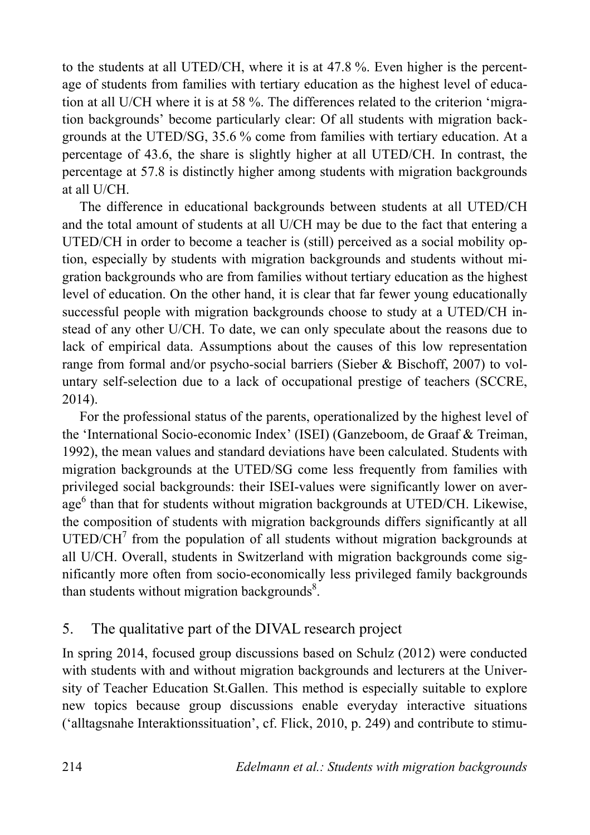to the students at all UTED/CH, where it is at 47.8 %. Even higher is the percentage of students from families with tertiary education as the highest level of education at all U/CH where it is at 58 %. The differences related to the criterion 'migration backgrounds' become particularly clear: Of all students with migration backgrounds at the UTED/SG, 35.6 % come from families with tertiary education. At a percentage of 43.6, the share is slightly higher at all UTED/CH. In contrast, the percentage at 57.8 is distinctly higher among students with migration backgrounds at all U/CH.

The difference in educational backgrounds between students at all UTED/CH and the total amount of students at all U/CH may be due to the fact that entering a UTED/CH in order to become a teacher is (still) perceived as a social mobility option, especially by students with migration backgrounds and students without migration backgrounds who are from families without tertiary education as the highest level of education. On the other hand, it is clear that far fewer young educationally successful people with migration backgrounds choose to study at a UTED/CH instead of any other U/CH. To date, we can only speculate about the reasons due to lack of empirical data. Assumptions about the causes of this low representation range from formal and/or psycho-social barriers (Sieber & Bischoff, 2007) to voluntary self-selection due to a lack of occupational prestige of teachers (SCCRE, 2014).

For the professional status of the parents, operationalized by the highest level of the 'International Socio-economic Index' (ISEI) (Ganzeboom, de Graaf & Treiman, 1992), the mean values and standard deviations have been calculated. Students with migration backgrounds at the UTED/SG come less frequently from families with privileged social backgrounds: their ISEI-values were significantly lower on average<sup>6</sup> than that for students without migration backgrounds at UTED/CH. Likewise, the composition of students with migration backgrounds differs significantly at all  $UTED/CH<sup>7</sup>$  from the population of all students without migration backgrounds at all U/CH. Overall, students in Switzerland with migration backgrounds come significantly more often from socio-economically less privileged family backgrounds than students without migration backgrounds $8$ .

# 5. The qualitative part of the DIVAL research project

In spring 2014, focused group discussions based on Schulz (2012) were conducted with students with and without migration backgrounds and lecturers at the University of Teacher Education St.Gallen. This method is especially suitable to explore new topics because group discussions enable everyday interactive situations ('alltagsnahe Interaktionssituation', cf. Flick, 2010, p. 249) and contribute to stimu-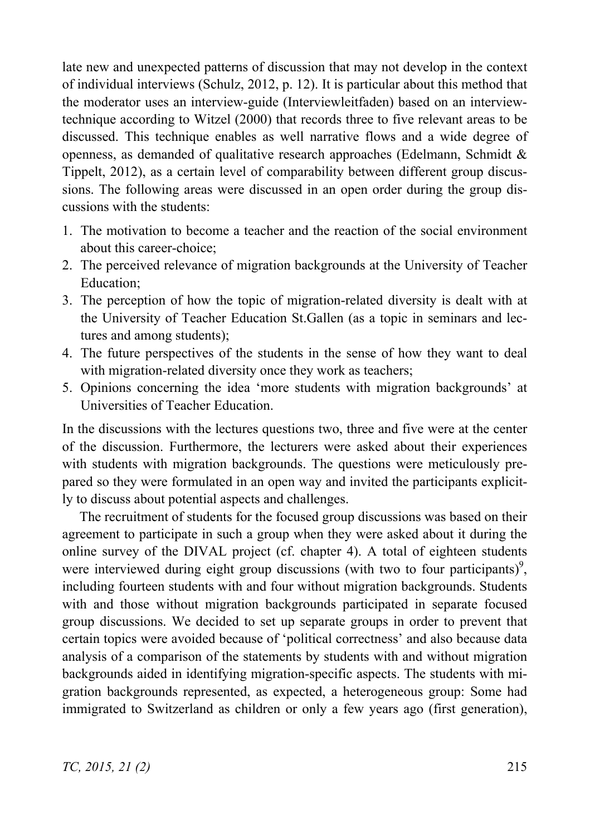late new and unexpected patterns of discussion that may not develop in the context of individual interviews (Schulz, 2012, p. 12). It is particular about this method that the moderator uses an interview-guide (Interviewleitfaden) based on an interviewtechnique according to Witzel (2000) that records three to five relevant areas to be discussed. This technique enables as well narrative flows and a wide degree of openness, as demanded of qualitative research approaches (Edelmann, Schmidt  $\&$ Tippelt, 2012), as a certain level of comparability between different group discussions. The following areas were discussed in an open order during the group discussions with the students:

- 1. The motivation to become a teacher and the reaction of the social environment about this career-choice;
- 2. The perceived relevance of migration backgrounds at the University of Teacher Education;
- 3. The perception of how the topic of migration-related diversity is dealt with at the University of Teacher Education St.Gallen (as a topic in seminars and lectures and among students);
- 4. The future perspectives of the students in the sense of how they want to deal with migration-related diversity once they work as teachers;
- 5. Opinions concerning the idea 'more students with migration backgrounds' at Universities of Teacher Education.

In the discussions with the lectures questions two, three and five were at the center of the discussion. Furthermore, the lecturers were asked about their experiences with students with migration backgrounds. The questions were meticulously prepared so they were formulated in an open way and invited the participants explicitly to discuss about potential aspects and challenges.

The recruitment of students for the focused group discussions was based on their agreement to participate in such a group when they were asked about it during the online survey of the DIVAL project (cf. chapter 4). A total of eighteen students were interviewed during eight group discussions (with two to four participants) $\degree$ , including fourteen students with and four without migration backgrounds. Students with and those without migration backgrounds participated in separate focused group discussions. We decided to set up separate groups in order to prevent that certain topics were avoided because of 'political correctness' and also because data analysis of a comparison of the statements by students with and without migration backgrounds aided in identifying migration-specific aspects. The students with migration backgrounds represented, as expected, a heterogeneous group: Some had immigrated to Switzerland as children or only a few years ago (first generation),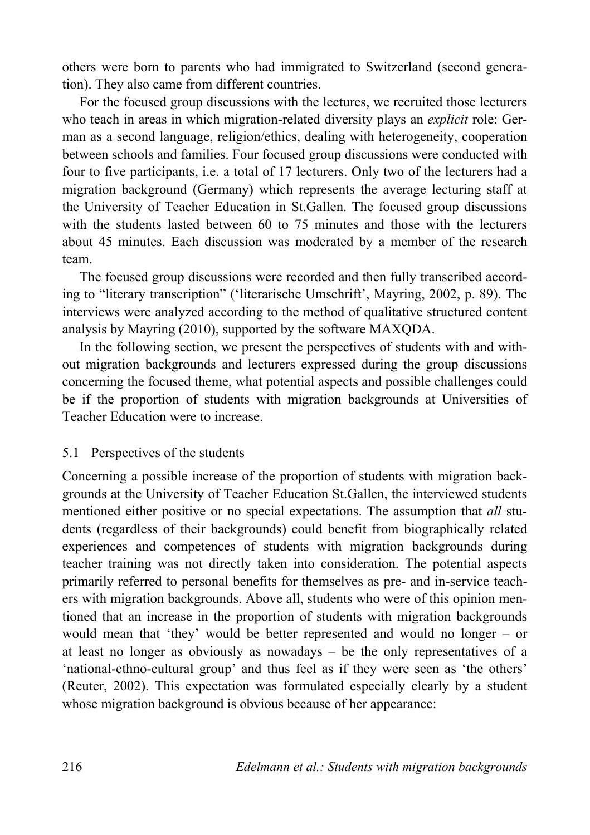others were born to parents who had immigrated to Switzerland (second generation). They also came from different countries.

For the focused group discussions with the lectures, we recruited those lecturers who teach in areas in which migration-related diversity plays an *explicit* role: German as a second language, religion/ethics, dealing with heterogeneity, cooperation between schools and families. Four focused group discussions were conducted with four to five participants, i.e. a total of 17 lecturers. Only two of the lecturers had a migration background (Germany) which represents the average lecturing staff at the University of Teacher Education in St.Gallen. The focused group discussions with the students lasted between 60 to 75 minutes and those with the lecturers about 45 minutes. Each discussion was moderated by a member of the research team.

The focused group discussions were recorded and then fully transcribed according to "literary transcription" ('literarische Umschrift', Mayring, 2002, p. 89). The interviews were analyzed according to the method of qualitative structured content analysis by Mayring (2010), supported by the software MAXQDA.

In the following section, we present the perspectives of students with and without migration backgrounds and lecturers expressed during the group discussions concerning the focused theme, what potential aspects and possible challenges could be if the proportion of students with migration backgrounds at Universities of Teacher Education were to increase.

## 5.1 Perspectives of the students

Concerning a possible increase of the proportion of students with migration backgrounds at the University of Teacher Education St.Gallen, the interviewed students mentioned either positive or no special expectations. The assumption that *all* students (regardless of their backgrounds) could benefit from biographically related experiences and competences of students with migration backgrounds during teacher training was not directly taken into consideration. The potential aspects primarily referred to personal benefits for themselves as pre- and in-service teachers with migration backgrounds. Above all, students who were of this opinion mentioned that an increase in the proportion of students with migration backgrounds would mean that 'they' would be better represented and would no longer – or at least no longer as obviously as nowadays – be the only representatives of a 'national-ethno-cultural group' and thus feel as if they were seen as 'the others' (Reuter, 2002). This expectation was formulated especially clearly by a student whose migration background is obvious because of her appearance: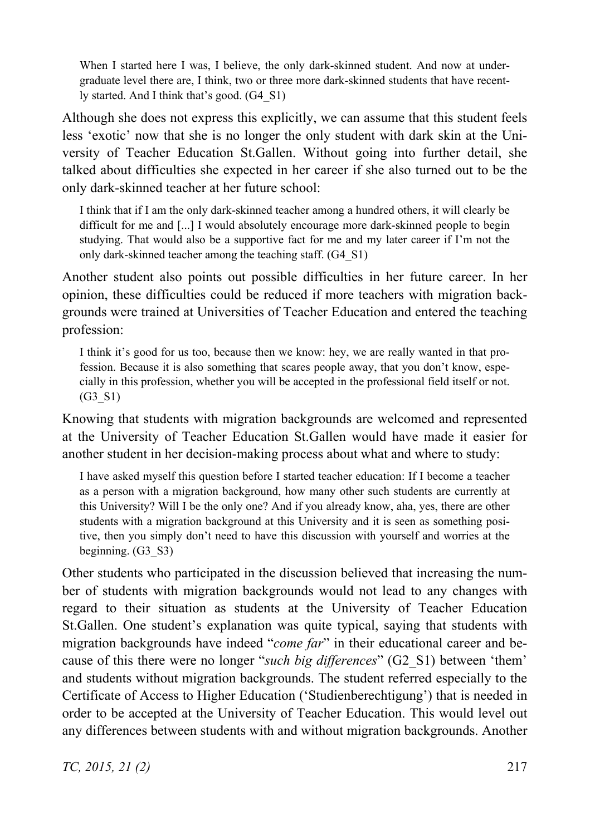When I started here I was, I believe, the only dark-skinned student. And now at undergraduate level there are, I think, two or three more dark-skinned students that have recently started. And I think that's good. (G4\_S1)

Although she does not express this explicitly, we can assume that this student feels less 'exotic' now that she is no longer the only student with dark skin at the University of Teacher Education St.Gallen. Without going into further detail, she talked about difficulties she expected in her career if she also turned out to be the only dark-skinned teacher at her future school:

I think that if I am the only dark-skinned teacher among a hundred others, it will clearly be difficult for me and [...] I would absolutely encourage more dark-skinned people to begin studying. That would also be a supportive fact for me and my later career if I'm not the only dark-skinned teacher among the teaching staff. (G4\_S1)

Another student also points out possible difficulties in her future career. In her opinion, these difficulties could be reduced if more teachers with migration backgrounds were trained at Universities of Teacher Education and entered the teaching profession:

I think it's good for us too, because then we know: hey, we are really wanted in that profession. Because it is also something that scares people away, that you don't know, especially in this profession, whether you will be accepted in the professional field itself or not. (G3\_S1)

Knowing that students with migration backgrounds are welcomed and represented at the University of Teacher Education St.Gallen would have made it easier for another student in her decision-making process about what and where to study:

I have asked myself this question before I started teacher education: If I become a teacher as a person with a migration background, how many other such students are currently at this University? Will I be the only one? And if you already know, aha, yes, there are other students with a migration background at this University and it is seen as something positive, then you simply don't need to have this discussion with yourself and worries at the beginning. (G3\_S3)

Other students who participated in the discussion believed that increasing the number of students with migration backgrounds would not lead to any changes with regard to their situation as students at the University of Teacher Education St.Gallen. One student's explanation was quite typical, saying that students with migration backgrounds have indeed "*come far*" in their educational career and because of this there were no longer "*such big differences*" (G2\_S1) between 'them' and students without migration backgrounds. The student referred especially to the Certificate of Access to Higher Education ('Studienberechtigung') that is needed in order to be accepted at the University of Teacher Education. This would level out any differences between students with and without migration backgrounds. Another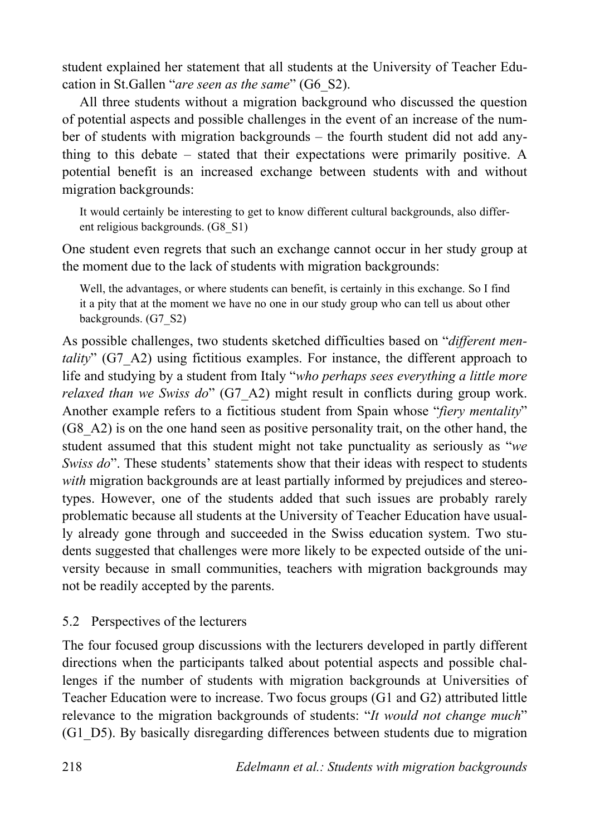student explained her statement that all students at the University of Teacher Education in St.Gallen "*are seen as the same*" (G6\_S2).

All three students without a migration background who discussed the question of potential aspects and possible challenges in the event of an increase of the number of students with migration backgrounds – the fourth student did not add anything to this debate – stated that their expectations were primarily positive. A potential benefit is an increased exchange between students with and without migration backgrounds:

It would certainly be interesting to get to know different cultural backgrounds, also different religious backgrounds. (G8\_S1)

One student even regrets that such an exchange cannot occur in her study group at the moment due to the lack of students with migration backgrounds:

Well, the advantages, or where students can benefit, is certainly in this exchange. So I find it a pity that at the moment we have no one in our study group who can tell us about other backgrounds. (G7\_S2)

As possible challenges, two students sketched difficulties based on "*different mentality*" (G7\_A2) using fictitious examples. For instance, the different approach to life and studying by a student from Italy "*who perhaps sees everything a little more relaxed than we Swiss do*" (G7\_A2) might result in conflicts during group work. Another example refers to a fictitious student from Spain whose "*fiery mentality*" (G8\_A2) is on the one hand seen as positive personality trait, on the other hand, the student assumed that this student might not take punctuality as seriously as "*we Swiss do*". These students' statements show that their ideas with respect to students *with* migration backgrounds are at least partially informed by prejudices and stereotypes. However, one of the students added that such issues are probably rarely problematic because all students at the University of Teacher Education have usually already gone through and succeeded in the Swiss education system. Two students suggested that challenges were more likely to be expected outside of the university because in small communities, teachers with migration backgrounds may not be readily accepted by the parents.

# 5.2 Perspectives of the lecturers

The four focused group discussions with the lecturers developed in partly different directions when the participants talked about potential aspects and possible challenges if the number of students with migration backgrounds at Universities of Teacher Education were to increase. Two focus groups (G1 and G2) attributed little relevance to the migration backgrounds of students: "*It would not change much*" (G1\_D5). By basically disregarding differences between students due to migration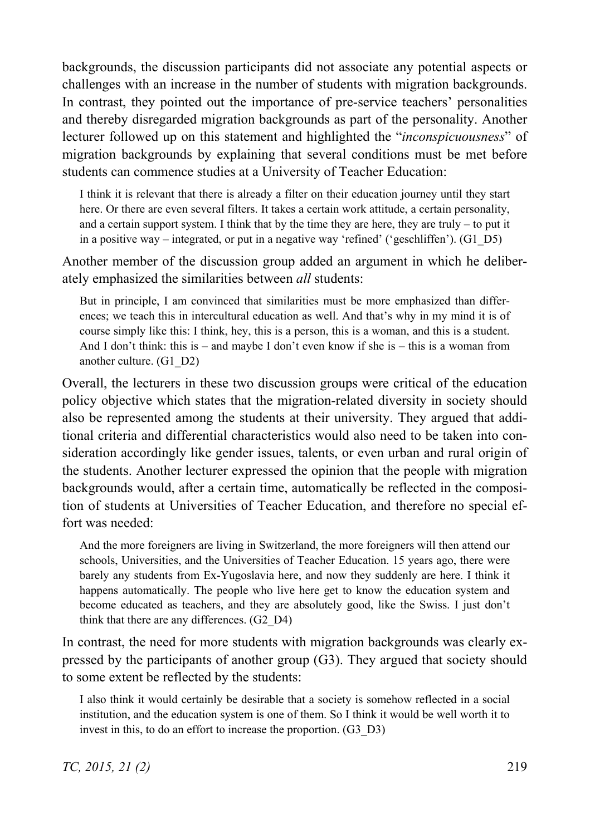backgrounds, the discussion participants did not associate any potential aspects or challenges with an increase in the number of students with migration backgrounds. In contrast, they pointed out the importance of pre-service teachers' personalities and thereby disregarded migration backgrounds as part of the personality. Another lecturer followed up on this statement and highlighted the "*inconspicuousness*" of migration backgrounds by explaining that several conditions must be met before students can commence studies at a University of Teacher Education:

I think it is relevant that there is already a filter on their education journey until they start here. Or there are even several filters. It takes a certain work attitude, a certain personality, and a certain support system. I think that by the time they are here, they are truly – to put it in a positive way – integrated, or put in a negative way 'refined' ('geschliffen'). (G1\_D5)

Another member of the discussion group added an argument in which he deliberately emphasized the similarities between *all* students:

But in principle, I am convinced that similarities must be more emphasized than differences; we teach this in intercultural education as well. And that's why in my mind it is of course simply like this: I think, hey, this is a person, this is a woman, and this is a student. And I don't think: this is – and maybe I don't even know if she is – this is a woman from another culture. (G1\_D2)

Overall, the lecturers in these two discussion groups were critical of the education policy objective which states that the migration-related diversity in society should also be represented among the students at their university. They argued that additional criteria and differential characteristics would also need to be taken into consideration accordingly like gender issues, talents, or even urban and rural origin of the students. Another lecturer expressed the opinion that the people with migration backgrounds would, after a certain time, automatically be reflected in the composition of students at Universities of Teacher Education, and therefore no special effort was needed:

And the more foreigners are living in Switzerland, the more foreigners will then attend our schools, Universities, and the Universities of Teacher Education. 15 years ago, there were barely any students from Ex-Yugoslavia here, and now they suddenly are here. I think it happens automatically. The people who live here get to know the education system and become educated as teachers, and they are absolutely good, like the Swiss. I just don't think that there are any differences. (G2\_D4)

In contrast, the need for more students with migration backgrounds was clearly expressed by the participants of another group (G3). They argued that society should to some extent be reflected by the students:

I also think it would certainly be desirable that a society is somehow reflected in a social institution, and the education system is one of them. So I think it would be well worth it to invest in this, to do an effort to increase the proportion. (G3\_D3)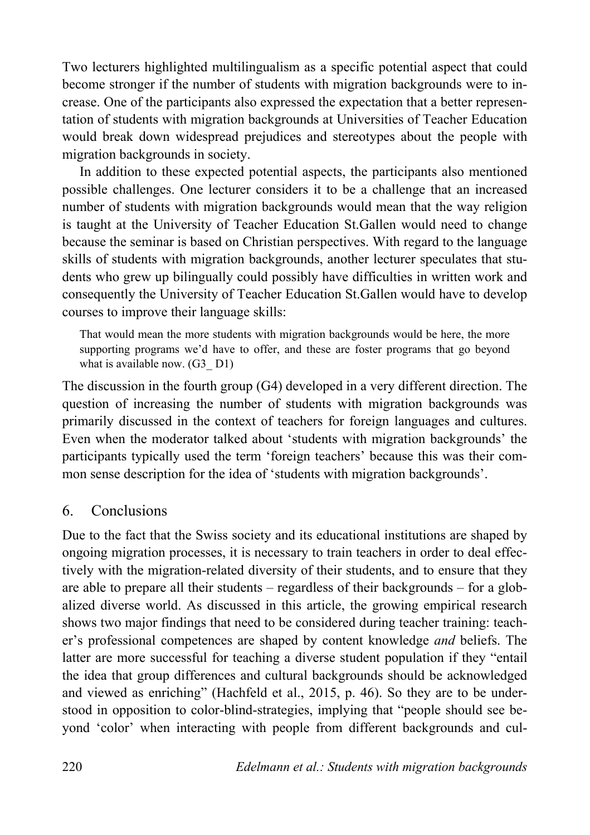Two lecturers highlighted multilingualism as a specific potential aspect that could become stronger if the number of students with migration backgrounds were to increase. One of the participants also expressed the expectation that a better representation of students with migration backgrounds at Universities of Teacher Education would break down widespread prejudices and stereotypes about the people with migration backgrounds in society.

In addition to these expected potential aspects, the participants also mentioned possible challenges. One lecturer considers it to be a challenge that an increased number of students with migration backgrounds would mean that the way religion is taught at the University of Teacher Education St.Gallen would need to change because the seminar is based on Christian perspectives. With regard to the language skills of students with migration backgrounds, another lecturer speculates that students who grew up bilingually could possibly have difficulties in written work and consequently the University of Teacher Education St.Gallen would have to develop courses to improve their language skills:

That would mean the more students with migration backgrounds would be here, the more supporting programs we'd have to offer, and these are foster programs that go beyond what is available now. (G3\_D1)

The discussion in the fourth group (G4) developed in a very different direction. The question of increasing the number of students with migration backgrounds was primarily discussed in the context of teachers for foreign languages and cultures. Even when the moderator talked about 'students with migration backgrounds' the participants typically used the term 'foreign teachers' because this was their common sense description for the idea of 'students with migration backgrounds'.

# 6. Conclusions

Due to the fact that the Swiss society and its educational institutions are shaped by ongoing migration processes, it is necessary to train teachers in order to deal effectively with the migration-related diversity of their students, and to ensure that they are able to prepare all their students – regardless of their backgrounds – for a globalized diverse world. As discussed in this article, the growing empirical research shows two major findings that need to be considered during teacher training: teacher's professional competences are shaped by content knowledge *and* beliefs. The latter are more successful for teaching a diverse student population if they "entail the idea that group differences and cultural backgrounds should be acknowledged and viewed as enriching" (Hachfeld et al., 2015, p. 46). So they are to be understood in opposition to color-blind-strategies, implying that "people should see beyond 'color' when interacting with people from different backgrounds and cul-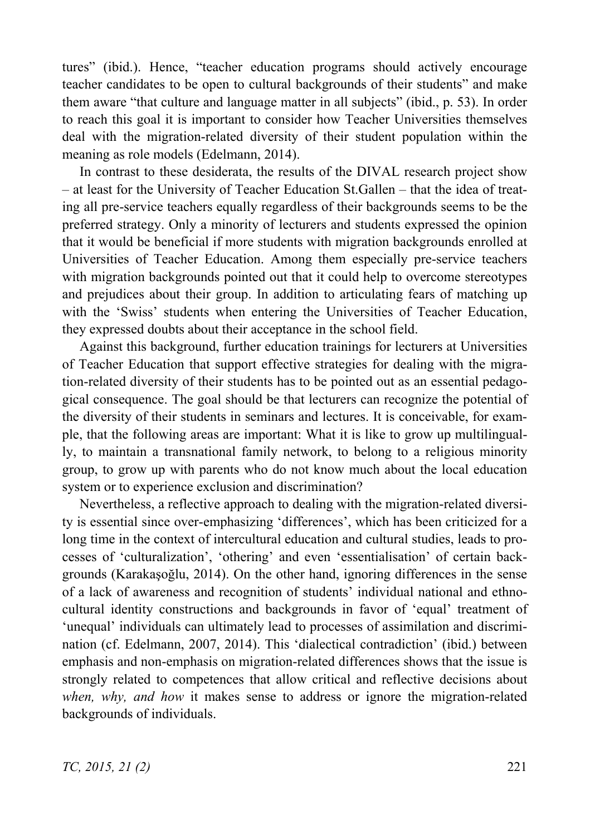tures" (ibid.). Hence, "teacher education programs should actively encourage teacher candidates to be open to cultural backgrounds of their students" and make them aware "that culture and language matter in all subjects" (ibid., p. 53). In order to reach this goal it is important to consider how Teacher Universities themselves deal with the migration-related diversity of their student population within the meaning as role models (Edelmann, 2014).

In contrast to these desiderata, the results of the DIVAL research project show – at least for the University of Teacher Education St.Gallen – that the idea of treating all pre-service teachers equally regardless of their backgrounds seems to be the preferred strategy. Only a minority of lecturers and students expressed the opinion that it would be beneficial if more students with migration backgrounds enrolled at Universities of Teacher Education. Among them especially pre-service teachers with migration backgrounds pointed out that it could help to overcome stereotypes and prejudices about their group. In addition to articulating fears of matching up with the 'Swiss' students when entering the Universities of Teacher Education, they expressed doubts about their acceptance in the school field.

Against this background, further education trainings for lecturers at Universities of Teacher Education that support effective strategies for dealing with the migration-related diversity of their students has to be pointed out as an essential pedagogical consequence. The goal should be that lecturers can recognize the potential of the diversity of their students in seminars and lectures. It is conceivable, for example, that the following areas are important: What it is like to grow up multilingually, to maintain a transnational family network, to belong to a religious minority group, to grow up with parents who do not know much about the local education system or to experience exclusion and discrimination?

Nevertheless, a reflective approach to dealing with the migration-related diversity is essential since over-emphasizing 'differences', which has been criticized for a long time in the context of intercultural education and cultural studies, leads to processes of 'culturalization', 'othering' and even 'essentialisation' of certain backgrounds (Karakasoğlu,  $2014$ ). On the other hand, ignoring differences in the sense of a lack of awareness and recognition of students' individual national and ethnocultural identity constructions and backgrounds in favor of 'equal' treatment of 'unequal' individuals can ultimately lead to processes of assimilation and discrimination (cf. Edelmann, 2007, 2014). This 'dialectical contradiction' (ibid.) between emphasis and non-emphasis on migration-related differences shows that the issue is strongly related to competences that allow critical and reflective decisions about *when, why, and how* it makes sense to address or ignore the migration-related backgrounds of individuals.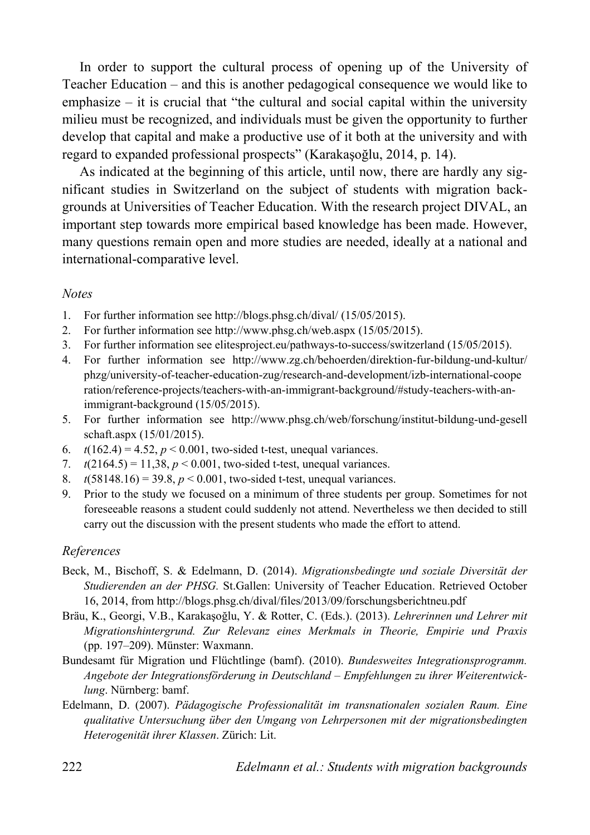In order to support the cultural process of opening up of the University of Teacher Education – and this is another pedagogical consequence we would like to emphasize – it is crucial that "the cultural and social capital within the university milieu must be recognized, and individuals must be given the opportunity to further develop that capital and make a productive use of it both at the university and with regard to expanded professional prospects" (Karakaşoğlu, 2014, p. 14).

As indicated at the beginning of this article, until now, there are hardly any significant studies in Switzerland on the subject of students with migration backgrounds at Universities of Teacher Education. With the research project DIVAL, an important step towards more empirical based knowledge has been made. However, many questions remain open and more studies are needed, ideally at a national and international-comparative level.

## *Notes*

- 1. For further information see http://blogs.phsg.ch/dival/ (15/05/2015).
- 2. For further information see http://www.phsg.ch/web.aspx (15/05/2015).
- 3. For further information see elitesproject.eu/pathways-to-success/switzerland (15/05/2015).
- 4. For further information see http://www.zg.ch/behoerden/direktion-fur-bildung-und-kultur/ phzg/university-of-teacher-education-zug/research-and-development/izb-international-coope ration/reference-projects/teachers-with-an-immigrant-background/#study-teachers-with-animmigrant-background (15/05/2015).
- 5. For further information see http://www.phsg.ch/web/forschung/institut-bildung-und-gesell schaft.aspx (15/01/2015).
- 6.  $t(162.4) = 4.52$ ,  $p < 0.001$ , two-sided t-test, unequal variances.
- 7.  $t(2164.5) = 11,38, p < 0.001$ , two-sided t-test, unequal variances.
- 8.  $t(58148.16) = 39.8, p < 0.001$ , two-sided t-test, unequal variances.
- 9. Prior to the study we focused on a minimum of three students per group. Sometimes for not foreseeable reasons a student could suddenly not attend. Nevertheless we then decided to still carry out the discussion with the present students who made the effort to attend.

## *References*

- Beck, M., Bischoff, S. & Edelmann, D. (2014). *Migrationsbedingte und soziale Diversität der Studierenden an der PHSG.* St.Gallen: University of Teacher Education. Retrieved October 16, 2014, from http://blogs.phsg.ch/dival/files/2013/09/forschungsberichtneu.pdf
- Bräu, K., Georgi, V.B., Karakasoğlu, Y. & Rotter, C. (Eds.). (2013). *Lehrerinnen und Lehrer mit Migrationshintergrund. Zur Relevanz eines Merkmals in Theorie, Empirie und Praxis* (pp. 197–209). Münster: Waxmann.
- Bundesamt für Migration und Flüchtlinge (bamf). (2010). *Bundesweites Integrationsprogramm. Angebote der Integrationsförderung in Deutschland – Empfehlungen zu ihrer Weiterentwicklung*. Nürnberg: bamf.
- Edelmann, D. (2007). *Pädagogische Professionalität im transnationalen sozialen Raum. Eine qualitative Untersuchung über den Umgang von Lehrpersonen mit der migrationsbedingten Heterogenität ihrer Klassen*. Zürich: Lit.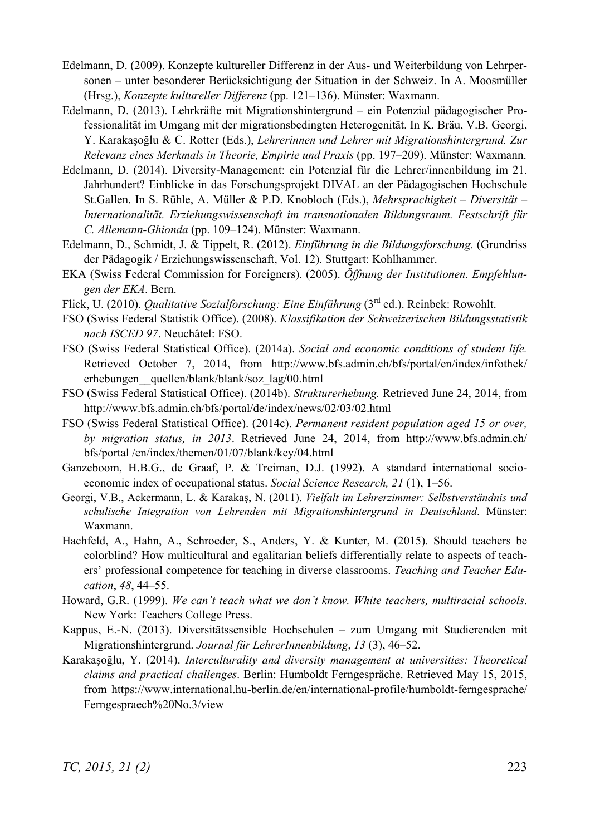- Edelmann, D. (2009). Konzepte kultureller Differenz in der Aus- und Weiterbildung von Lehrpersonen – unter besonderer Berücksichtigung der Situation in der Schweiz. In A. Moosmüller (Hrsg.), *Konzepte kultureller Differenz* (pp. 121–136). Münster: Waxmann.
- Edelmann, D. (2013). Lehrkräfte mit Migrationshintergrund ein Potenzial pädagogischer Professionalität im Umgang mit der migrationsbedingten Heterogenität. In K. Bräu, V.B. Georgi, Y. Karakasoğlu & C. Rotter (Eds.), *Lehrerinnen und Lehrer mit Migrationshintergrund. Zur Relevanz eines Merkmals in Theorie, Empirie und Praxis* (pp. 197–209). Münster: Waxmann.
- Edelmann, D. (2014). Diversity-Management: ein Potenzial für die Lehrer/innenbildung im 21. Jahrhundert? Einblicke in das Forschungsprojekt DIVAL an der Pädagogischen Hochschule St.Gallen. In S. Rühle, A. Müller & P.D. Knobloch (Eds.), *Mehrsprachigkeit* – *Diversität* – *Internationalität. Erziehungswissenschaft im transnationalen Bildungsraum. Festschrift für C. Allemann-Ghionda* (pp. 109–124). Münster: Waxmann.
- Edelmann, D., Schmidt, J. & Tippelt, R. (2012). *Einführung in die Bildungsforschung.* (Grundriss der Pädagogik / Erziehungswissenschaft, Vol. 12)*.* Stuttgart: Kohlhammer.
- EKA (Swiss Federal Commission for Foreigners). (2005). *Öffnung der Institutionen. Empfehlungen der EKA*. Bern.
- Flick, U. (2010). *Qualitative Sozialforschung: Eine Einführung* (3rd ed.). Reinbek: Rowohlt.
- FSO (Swiss Federal Statistik Office). (2008). *Klassifikation der Schweizerischen Bildungsstatistik nach ISCED 97*. Neuchâtel: FSO.
- FSO (Swiss Federal Statistical Office). (2014a). *Social and economic conditions of student life.* Retrieved October 7, 2014, from http://www.bfs.admin.ch/bfs/portal/en/index/infothek/ erhebungen\_\_quellen/blank/blank/soz\_lag/00.html
- FSO (Swiss Federal Statistical Office). (2014b). *Strukturerhebung.* Retrieved June 24, 2014, from http://www.bfs.admin.ch/bfs/portal/de/index/news/02/03/02.html
- FSO (Swiss Federal Statistical Office). (2014c). *Permanent resident population aged 15 or over, by migration status, in 2013*. Retrieved June 24, 2014, from http://www.bfs.admin.ch/ bfs/portal /en/index/themen/01/07/blank/key/04.html
- Ganzeboom, H.B.G., de Graaf, P. & Treiman, D.J. (1992). A standard international socioeconomic index of occupational status. *Social Science Research, 21* (1), 1–56.
- Georgi, V.B., Ackermann, L. & Karakaş, N. (2011). *Vielfalt im Lehrerzimmer: Selbstverständnis und schulische Integration von Lehrenden mit Migrationshintergrund in Deutschland*. Münster: Waxmann.
- Hachfeld, A., Hahn, A., Schroeder, S., Anders, Y. & Kunter, M. (2015). Should teachers be colorblind? How multicultural and egalitarian beliefs differentially relate to aspects of teachers' professional competence for teaching in diverse classrooms. *Teaching and Teacher Education*, *48*, 44–55.
- Howard, G.R. (1999). *We can't teach what we don't know. White teachers, multiracial schools.* New York: Teachers College Press.
- Kappus, E.-N. (2013). Diversitätssensible Hochschulen zum Umgang mit Studierenden mit Migrationshintergrund. *Journal für LehrerInnenbildung*, *13* (3), 46–52.
- Karakaşoğlu, Y. (2014). *Interculturality and diversity management at universities: Theoretical claims and practical challenges*. Berlin: Humboldt Ferngespräche. Retrieved May 15, 2015, from https://www.international.hu-berlin.de/en/international-profile/humboldt-ferngesprache/ Ferngespraech%20No.3/view